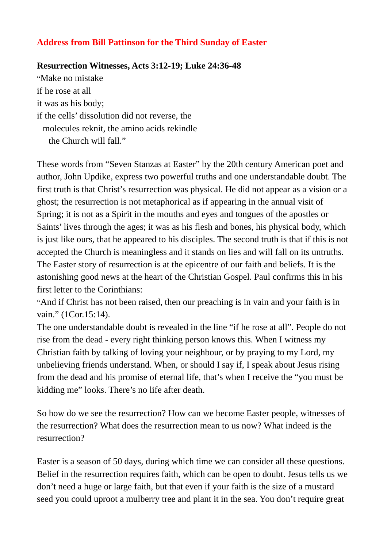## **Address from Bill Pattinson for the Third Sunday of Easter**

## **Resurrection Witnesses, Acts 3:12-19; Luke 24:36-48**

"Make no mistake if he rose at all it was as his body; if the cells' dissolution did not reverse, the molecules reknit, the amino acids rekindle the Church will fall."

These words from "Seven Stanzas at Easter" by the 20th century American poet and author, John Updike, express two powerful truths and one understandable doubt. The first truth is that Christ's resurrection was physical. He did not appear as a vision or a ghost; the resurrection is not metaphorical as if appearing in the annual visit of Spring; it is not as a Spirit in the mouths and eyes and tongues of the apostles or Saints' lives through the ages; it was as his flesh and bones, his physical body, which is just like ours, that he appeared to his disciples. The second truth is that if this is not accepted the Church is meaningless and it stands on lies and will fall on its untruths. The Easter story of resurrection is at the epicentre of our faith and beliefs. It is the astonishing good news at the heart of the Christian Gospel. Paul confirms this in his first letter to the Corinthians:

"And if Christ has not been raised, then our preaching is in vain and your faith is in vain." (1Cor.15:14).

The one understandable doubt is revealed in the line "if he rose at all". People do not rise from the dead - every right thinking person knows this. When I witness my Christian faith by talking of loving your neighbour, or by praying to my Lord, my unbelieving friends understand. When, or should I say if, I speak about Jesus rising from the dead and his promise of eternal life, that's when I receive the "you must be kidding me" looks. There's no life after death.

So how do we see the resurrection? How can we become Easter people, witnesses of the resurrection? What does the resurrection mean to us now? What indeed is the resurrection?

Easter is a season of 50 days, during which time we can consider all these questions. Belief in the resurrection requires faith, which can be open to doubt. Jesus tells us we don't need a huge or large faith, but that even if your faith is the size of a mustard seed you could uproot a mulberry tree and plant it in the sea. You don't require great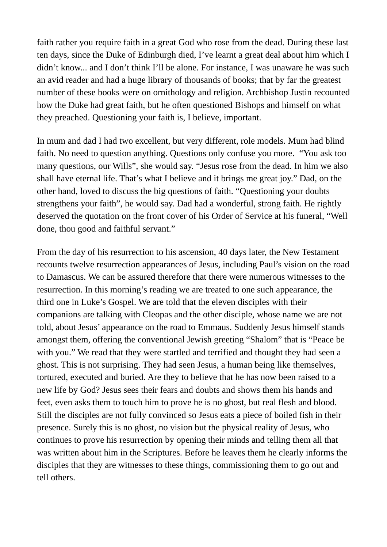faith rather you require faith in a great God who rose from the dead. During these last ten days, since the Duke of Edinburgh died, I've learnt a great deal about him which I didn't know... and I don't think I'll be alone. For instance, I was unaware he was such an avid reader and had a huge library of thousands of books; that by far the greatest number of these books were on ornithology and religion. Archbishop Justin recounted how the Duke had great faith, but he often questioned Bishops and himself on what they preached. Questioning your faith is, I believe, important.

In mum and dad I had two excellent, but very different, role models. Mum had blind faith. No need to question anything. Questions only confuse you more. "You ask too many questions, our Wills", she would say. "Jesus rose from the dead. In him we also shall have eternal life. That's what I believe and it brings me great joy." Dad, on the other hand, loved to discuss the big questions of faith. "Questioning your doubts strengthens your faith", he would say. Dad had a wonderful, strong faith. He rightly deserved the quotation on the front cover of his Order of Service at his funeral, "Well done, thou good and faithful servant."

From the day of his resurrection to his ascension, 40 days later, the New Testament recounts twelve resurrection appearances of Jesus, including Paul's vision on the road to Damascus. We can be assured therefore that there were numerous witnesses to the resurrection. In this morning's reading we are treated to one such appearance, the third one in Luke's Gospel. We are told that the eleven disciples with their companions are talking with Cleopas and the other disciple, whose name we are not told, about Jesus' appearance on the road to Emmaus. Suddenly Jesus himself stands amongst them, offering the conventional Jewish greeting "Shalom" that is "Peace be with you." We read that they were startled and terrified and thought they had seen a ghost. This is not surprising. They had seen Jesus, a human being like themselves, tortured, executed and buried. Are they to believe that he has now been raised to a new life by God? Jesus sees their fears and doubts and shows them his hands and feet, even asks them to touch him to prove he is no ghost, but real flesh and blood. Still the disciples are not fully convinced so Jesus eats a piece of boiled fish in their presence. Surely this is no ghost, no vision but the physical reality of Jesus, who continues to prove his resurrection by opening their minds and telling them all that was written about him in the Scriptures. Before he leaves them he clearly informs the disciples that they are witnesses to these things, commissioning them to go out and tell others.